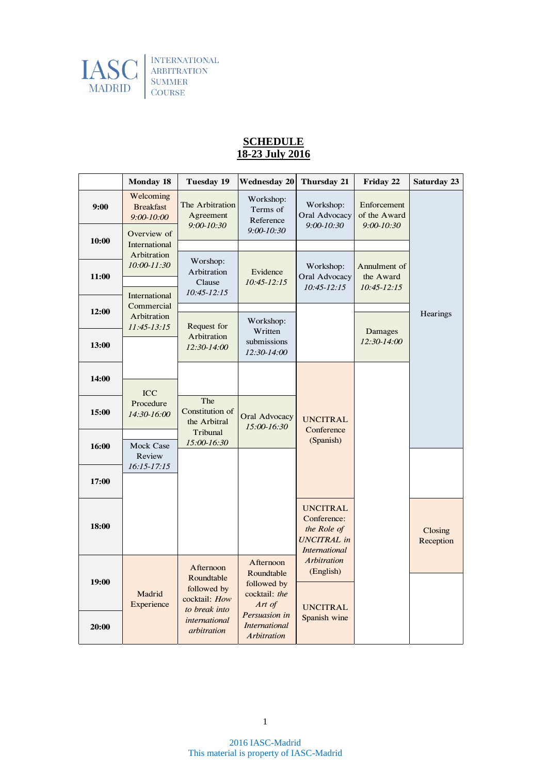

## **SCHEDULE 18-23 July 2016**

|       | <b>Monday 18</b>                                | <b>Tuesday 19</b>                                                                                        | <b>Wednesday 20</b>                                                                                                       | <b>Thursday 21</b>                                                                          | Friday 22                                     | <b>Saturday 23</b>   |
|-------|-------------------------------------------------|----------------------------------------------------------------------------------------------------------|---------------------------------------------------------------------------------------------------------------------------|---------------------------------------------------------------------------------------------|-----------------------------------------------|----------------------|
| 9:00  | Welcoming<br><b>Breakfast</b><br>$9:00 - 10:00$ | The Arbitration<br>Agreement<br>$9:00 - 10:30$                                                           | Workshop:<br>Terms of<br>Reference                                                                                        | Workshop:<br>Oral Advocacy<br>$9:00 - 10:30$                                                | Enforcement<br>of the Award<br>$9:00 - 10:30$ |                      |
| 10:00 | Overview of<br>International                    |                                                                                                          | $9:00 - 10:30$                                                                                                            |                                                                                             |                                               |                      |
| 11:00 | Arbitration<br>$10:00 - 11:30$                  | Worshop:<br>Arbitration<br>Clause                                                                        | Evidence<br>$10:45 - 12:15$                                                                                               | Workshop:<br>Oral Advocacy<br>$10:45 - 12:15$                                               | Annulment of<br>the Award<br>$10:45 - 12:15$  |                      |
| 12:00 | International<br>Commercial                     | $10:45 - 12:15$                                                                                          |                                                                                                                           |                                                                                             |                                               | Hearings             |
| 13:00 | Arbitration<br>$11:45-13:15$                    | Request for<br>Arbitration<br>12:30-14:00                                                                | Workshop:<br>Written<br>submissions<br>12:30-14:00                                                                        |                                                                                             | Damages<br>$12:30-14:00$                      |                      |
| 14:00 |                                                 |                                                                                                          |                                                                                                                           |                                                                                             |                                               |                      |
| 15:00 | <b>ICC</b><br>Procedure<br>14:30-16:00          | The<br>Constitution of<br>the Arbitral                                                                   | <b>Oral Advocacy</b><br>15:00-16:30                                                                                       | <b>UNCITRAL</b>                                                                             |                                               |                      |
| 16:00 | <b>Mock Case</b><br>Review                      | Tribunal<br>15:00-16:30                                                                                  |                                                                                                                           | Conference<br>(Spanish)                                                                     |                                               |                      |
| 17:00 | $16:15 - 17:15$                                 |                                                                                                          |                                                                                                                           |                                                                                             |                                               |                      |
| 18:00 |                                                 |                                                                                                          |                                                                                                                           | <b>UNCITRAL</b><br>Conference:<br>the Role of<br><b>UNCITRAL</b> in<br><b>International</b> |                                               | Closing<br>Reception |
| 19:00 | Madrid<br>Experience                            | Afternoon<br>Roundtable<br>followed by<br>cocktail: How<br>to break into<br>international<br>arbitration | Afternoon<br>Roundtable<br>followed by<br>cocktail: the<br>Art of<br>Persuasion in<br><b>International</b><br>Arbitration | <b>Arbitration</b><br>(English)                                                             |                                               |                      |
|       |                                                 |                                                                                                          |                                                                                                                           | <b>UNCITRAL</b><br>Spanish wine                                                             |                                               |                      |
| 20:00 |                                                 |                                                                                                          |                                                                                                                           |                                                                                             |                                               |                      |